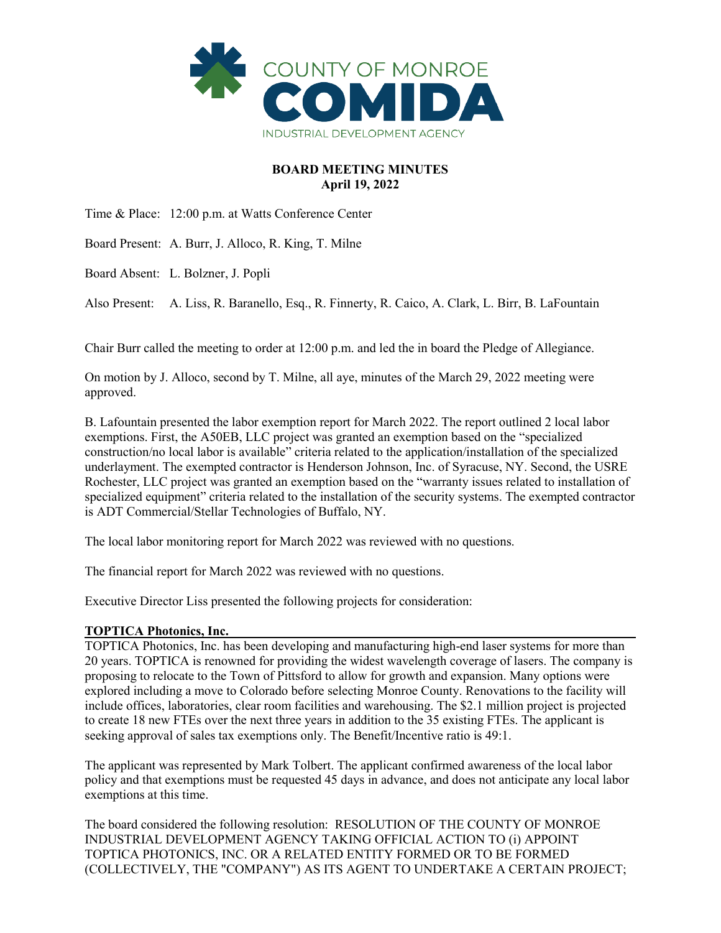

# **BOARD MEETING MINUTES April 19, 2022**

Time & Place: 12:00 p.m. at Watts Conference Center

Board Present: A. Burr, J. Alloco, R. King, T. Milne

Board Absent: L. Bolzner, J. Popli

Also Present: A. Liss, R. Baranello, Esq., R. Finnerty, R. Caico, A. Clark, L. Birr, B. LaFountain

Chair Burr called the meeting to order at 12:00 p.m. and led the in board the Pledge of Allegiance.

On motion by J. Alloco, second by T. Milne, all aye, minutes of the March 29, 2022 meeting were approved.

B. Lafountain presented the labor exemption report for March 2022. The report outlined 2 local labor exemptions. First, the A50EB, LLC project was granted an exemption based on the "specialized construction/no local labor is available" criteria related to the application/installation of the specialized underlayment. The exempted contractor is Henderson Johnson, Inc. of Syracuse, NY. Second, the USRE Rochester, LLC project was granted an exemption based on the "warranty issues related to installation of specialized equipment" criteria related to the installation of the security systems. The exempted contractor is ADT Commercial/Stellar Technologies of Buffalo, NY.

The local labor monitoring report for March 2022 was reviewed with no questions.

The financial report for March 2022 was reviewed with no questions.

Executive Director Liss presented the following projects for consideration:

## **TOPTICA Photonics, Inc.**

TOPTICA Photonics, Inc. has been developing and manufacturing high-end laser systems for more than 20 years. TOPTICA is renowned for providing the widest wavelength coverage of lasers. The company is proposing to relocate to the Town of Pittsford to allow for growth and expansion. Many options were explored including a move to Colorado before selecting Monroe County. Renovations to the facility will include offices, laboratories, clear room facilities and warehousing. The \$2.1 million project is projected to create 18 new FTEs over the next three years in addition to the 35 existing FTEs. The applicant is seeking approval of sales tax exemptions only. The Benefit/Incentive ratio is 49:1.

The applicant was represented by Mark Tolbert. The applicant confirmed awareness of the local labor policy and that exemptions must be requested 45 days in advance, and does not anticipate any local labor exemptions at this time.

The board considered the following resolution: RESOLUTION OF THE COUNTY OF MONROE INDUSTRIAL DEVELOPMENT AGENCY TAKING OFFICIAL ACTION TO (i) APPOINT TOPTICA PHOTONICS, INC. OR A RELATED ENTITY FORMED OR TO BE FORMED (COLLECTIVELY, THE "COMPANY") AS ITS AGENT TO UNDERTAKE A CERTAIN PROJECT;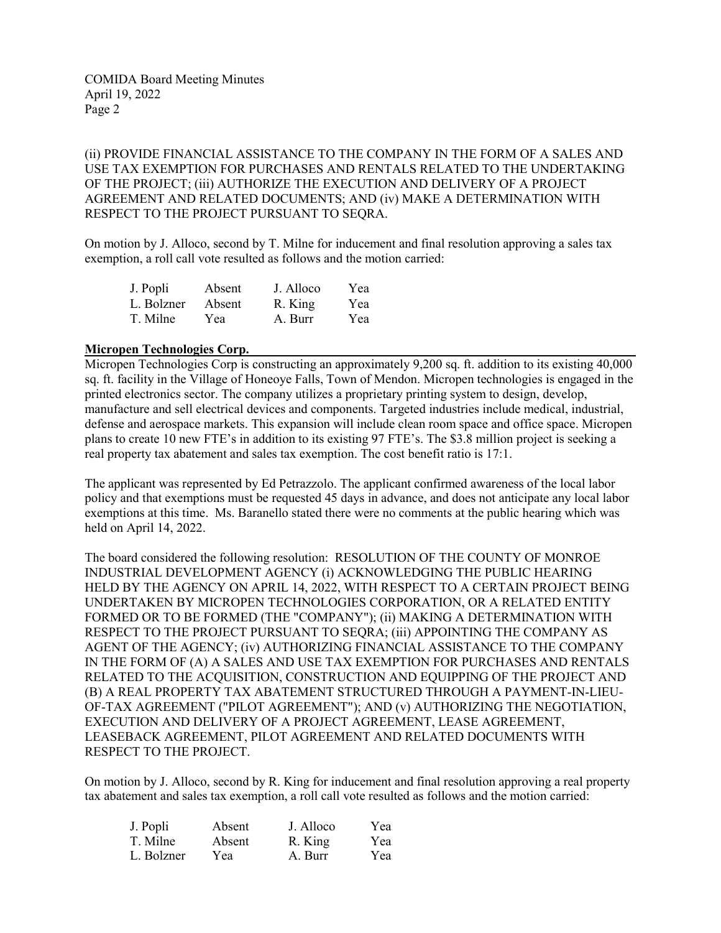(ii) PROVIDE FINANCIAL ASSISTANCE TO THE COMPANY IN THE FORM OF A SALES AND USE TAX EXEMPTION FOR PURCHASES AND RENTALS RELATED TO THE UNDERTAKING OF THE PROJECT; (iii) AUTHORIZE THE EXECUTION AND DELIVERY OF A PROJECT AGREEMENT AND RELATED DOCUMENTS; AND (iv) MAKE A DETERMINATION WITH RESPECT TO THE PROJECT PURSUANT TO SEQRA.

On motion by J. Alloco, second by T. Milne for inducement and final resolution approving a sales tax exemption, a roll call vote resulted as follows and the motion carried:

| J. Popli   | Absent | J. Alloco | Yea |
|------------|--------|-----------|-----|
| L. Bolzner | Absent | R. King   | Yea |
| T. Milne   | Yea    | A. Burr   | Yea |

#### **Micropen Technologies Corp.**

Micropen Technologies Corp is constructing an approximately 9,200 sq. ft. addition to its existing 40,000 sq. ft. facility in the Village of Honeoye Falls, Town of Mendon. Micropen technologies is engaged in the printed electronics sector. The company utilizes a proprietary printing system to design, develop, manufacture and sell electrical devices and components. Targeted industries include medical, industrial, defense and aerospace markets. This expansion will include clean room space and office space. Micropen plans to create 10 new FTE's in addition to its existing 97 FTE's. The \$3.8 million project is seeking a real property tax abatement and sales tax exemption. The cost benefit ratio is 17:1.

The applicant was represented by Ed Petrazzolo. The applicant confirmed awareness of the local labor policy and that exemptions must be requested 45 days in advance, and does not anticipate any local labor exemptions at this time. Ms. Baranello stated there were no comments at the public hearing which was held on April 14, 2022.

The board considered the following resolution: RESOLUTION OF THE COUNTY OF MONROE INDUSTRIAL DEVELOPMENT AGENCY (i) ACKNOWLEDGING THE PUBLIC HEARING HELD BY THE AGENCY ON APRIL 14, 2022, WITH RESPECT TO A CERTAIN PROJECT BEING UNDERTAKEN BY MICROPEN TECHNOLOGIES CORPORATION, OR A RELATED ENTITY FORMED OR TO BE FORMED (THE "COMPANY"); (ii) MAKING A DETERMINATION WITH RESPECT TO THE PROJECT PURSUANT TO SEQRA; (iii) APPOINTING THE COMPANY AS AGENT OF THE AGENCY; (iv) AUTHORIZING FINANCIAL ASSISTANCE TO THE COMPANY IN THE FORM OF (A) A SALES AND USE TAX EXEMPTION FOR PURCHASES AND RENTALS RELATED TO THE ACQUISITION, CONSTRUCTION AND EQUIPPING OF THE PROJECT AND (B) A REAL PROPERTY TAX ABATEMENT STRUCTURED THROUGH A PAYMENT-IN-LIEU-OF-TAX AGREEMENT ("PILOT AGREEMENT"); AND (v) AUTHORIZING THE NEGOTIATION, EXECUTION AND DELIVERY OF A PROJECT AGREEMENT, LEASE AGREEMENT, LEASEBACK AGREEMENT, PILOT AGREEMENT AND RELATED DOCUMENTS WITH RESPECT TO THE PROJECT.

On motion by J. Alloco, second by R. King for inducement and final resolution approving a real property tax abatement and sales tax exemption, a roll call vote resulted as follows and the motion carried:

| J. Popli   | Absent | J. Alloco | Yea |
|------------|--------|-----------|-----|
| T. Milne   | Absent | R. King   | Yea |
| L. Bolzner | Yea    | A. Burr   | Yea |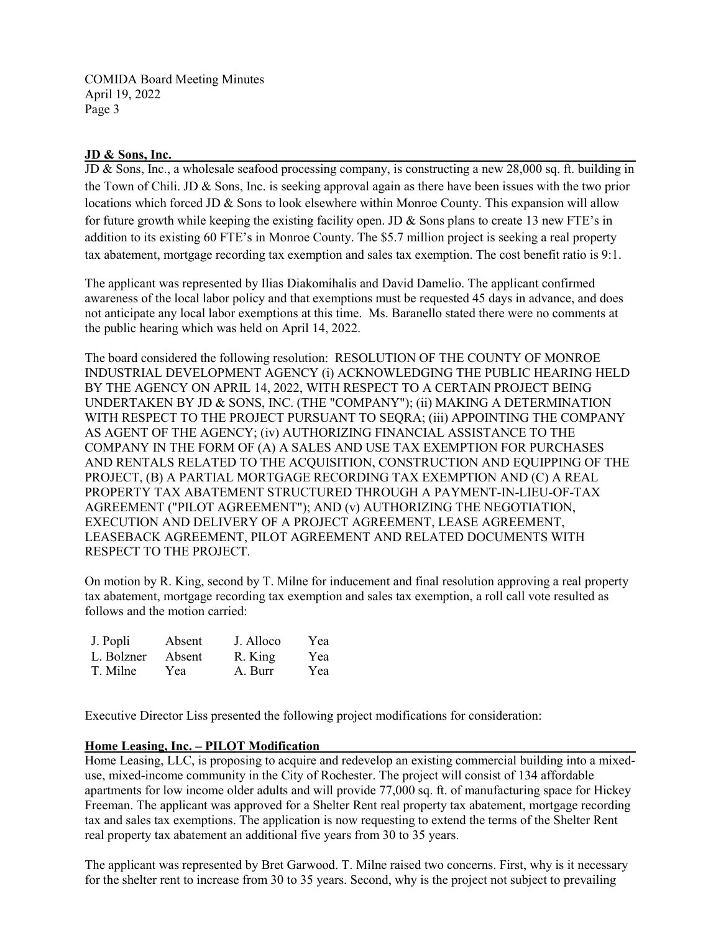## **JD & Sons, Inc.**

JD & Sons, Inc., a wholesale seafood processing company, is constructing a new 28,000 sq. ft. building in the Town of Chili. JD & Sons, Inc. is seeking approval again as there have been issues with the two prior locations which forced JD & Sons to look elsewhere within Monroe County. This expansion will allow for future growth while keeping the existing facility open. JD & Sons plans to create 13 new FTE's in addition to its existing 60 FTE's in Monroe County. The \$5.7 million project is seeking a real property tax abatement, mortgage recording tax exemption and sales tax exemption. The cost benefit ratio is 9:1.

The applicant was represented by Ilias Diakomihalis and David Damelio. The applicant confirmed awareness of the local labor policy and that exemptions must be requested 45 days in advance, and does not anticipate any local labor exemptions at this time. Ms. Baranello stated there were no comments at the public hearing which was held on April 14, 2022.

The board considered the following resolution: RESOLUTION OF THE COUNTY OF MONROE INDUSTRIAL DEVELOPMENT AGENCY (i) ACKNOWLEDGING THE PUBLIC HEARING HELD BY THE AGENCY ON APRIL 14, 2022, WITH RESPECT TO A CERTAIN PROJECT BEING UNDERTAKEN BY JD & SONS, INC. (THE "COMPANY"); (ii) MAKING A DETERMINATION WITH RESPECT TO THE PROJECT PURSUANT TO SEQRA; (iii) APPOINTING THE COMPANY AS AGENT OF THE AGENCY; (iv) AUTHORIZING FINANCIAL ASSISTANCE TO THE COMPANY IN THE FORM OF (A) A SALES AND USE TAX EXEMPTION FOR PURCHASES AND RENTALS RELATED TO THE ACQUISITION, CONSTRUCTION AND EQUIPPING OF THE PROJECT, (B) A PARTIAL MORTGAGE RECORDING TAX EXEMPTION AND (C) A REAL PROPERTY TAX ABATEMENT STRUCTURED THROUGH A PAYMENT-IN-LIEU-OF-TAX AGREEMENT ("PILOT AGREEMENT"); AND (v) AUTHORIZING THE NEGOTIATION, EXECUTION AND DELIVERY OF A PROJECT AGREEMENT, LEASE AGREEMENT, LEASEBACK AGREEMENT, PILOT AGREEMENT AND RELATED DOCUMENTS WITH RESPECT TO THE PROJECT.

On motion by R. King, second by T. Milne for inducement and final resolution approving a real property tax abatement, mortgage recording tax exemption and sales tax exemption, a roll call vote resulted as follows and the motion carried:

| J. Popli   | Absent | J. Alloco | Yea |
|------------|--------|-----------|-----|
| L. Bolzner | Absent | R. King   | Yea |
| T. Milne   | Yea    | A. Burr   | Yea |

Executive Director Liss presented the following project modifications for consideration:

#### **Home Leasing, Inc. – PILOT Modification**

Home Leasing, LLC, is proposing to acquire and redevelop an existing commercial building into a mixeduse, mixed-income community in the City of Rochester. The project will consist of 134 affordable apartments for low income older adults and will provide 77,000 sq. ft. of manufacturing space for Hickey Freeman. The applicant was approved for a Shelter Rent real property tax abatement, mortgage recording tax and sales tax exemptions. The application is now requesting to extend the terms of the Shelter Rent real property tax abatement an additional five years from 30 to 35 years.

The applicant was represented by Bret Garwood. T. Milne raised two concerns. First, why is it necessary for the shelter rent to increase from 30 to 35 years. Second, why is the project not subject to prevailing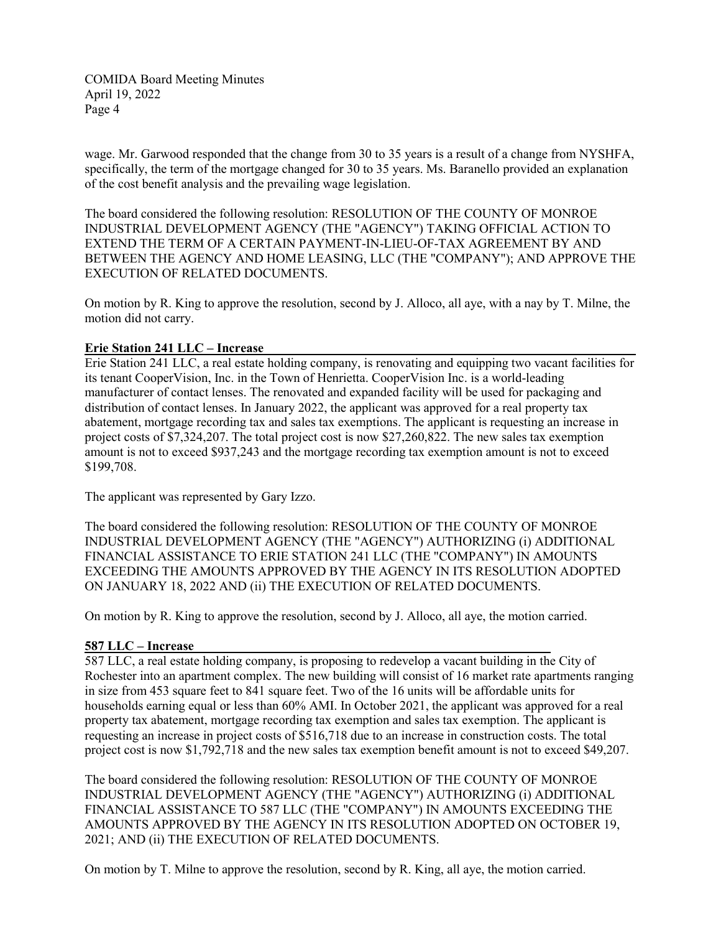wage. Mr. Garwood responded that the change from 30 to 35 years is a result of a change from NYSHFA, specifically, the term of the mortgage changed for 30 to 35 years. Ms. Baranello provided an explanation of the cost benefit analysis and the prevailing wage legislation.

The board considered the following resolution: RESOLUTION OF THE COUNTY OF MONROE INDUSTRIAL DEVELOPMENT AGENCY (THE "AGENCY") TAKING OFFICIAL ACTION TO EXTEND THE TERM OF A CERTAIN PAYMENT-IN-LIEU-OF-TAX AGREEMENT BY AND BETWEEN THE AGENCY AND HOME LEASING, LLC (THE "COMPANY"); AND APPROVE THE EXECUTION OF RELATED DOCUMENTS.

On motion by R. King to approve the resolution, second by J. Alloco, all aye, with a nay by T. Milne, the motion did not carry.

## **Erie Station 241 LLC – Increase**

Erie Station 241 LLC, a real estate holding company, is renovating and equipping two vacant facilities for its tenant CooperVision, Inc. in the Town of Henrietta. CooperVision Inc. is a world-leading manufacturer of contact lenses. The renovated and expanded facility will be used for packaging and distribution of contact lenses. In January 2022, the applicant was approved for a real property tax abatement, mortgage recording tax and sales tax exemptions. The applicant is requesting an increase in project costs of \$7,324,207. The total project cost is now \$27,260,822. The new sales tax exemption amount is not to exceed \$937,243 and the mortgage recording tax exemption amount is not to exceed \$199,708.

The applicant was represented by Gary Izzo.

The board considered the following resolution: RESOLUTION OF THE COUNTY OF MONROE INDUSTRIAL DEVELOPMENT AGENCY (THE "AGENCY") AUTHORIZING (i) ADDITIONAL FINANCIAL ASSISTANCE TO ERIE STATION 241 LLC (THE "COMPANY") IN AMOUNTS EXCEEDING THE AMOUNTS APPROVED BY THE AGENCY IN ITS RESOLUTION ADOPTED ON JANUARY 18, 2022 AND (ii) THE EXECUTION OF RELATED DOCUMENTS.

On motion by R. King to approve the resolution, second by J. Alloco, all aye, the motion carried.

#### **587 LLC – Increase**

587 LLC, a real estate holding company, is proposing to redevelop a vacant building in the City of Rochester into an apartment complex. The new building will consist of 16 market rate apartments ranging in size from 453 square feet to 841 square feet. Two of the 16 units will be affordable units for households earning equal or less than 60% AMI. In October 2021, the applicant was approved for a real property tax abatement, mortgage recording tax exemption and sales tax exemption. The applicant is requesting an increase in project costs of \$516,718 due to an increase in construction costs. The total project cost is now \$1,792,718 and the new sales tax exemption benefit amount is not to exceed \$49,207.

The board considered the following resolution: RESOLUTION OF THE COUNTY OF MONROE INDUSTRIAL DEVELOPMENT AGENCY (THE "AGENCY") AUTHORIZING (i) ADDITIONAL FINANCIAL ASSISTANCE TO 587 LLC (THE "COMPANY") IN AMOUNTS EXCEEDING THE AMOUNTS APPROVED BY THE AGENCY IN ITS RESOLUTION ADOPTED ON OCTOBER 19, 2021; AND (ii) THE EXECUTION OF RELATED DOCUMENTS.

On motion by T. Milne to approve the resolution, second by R. King, all aye, the motion carried.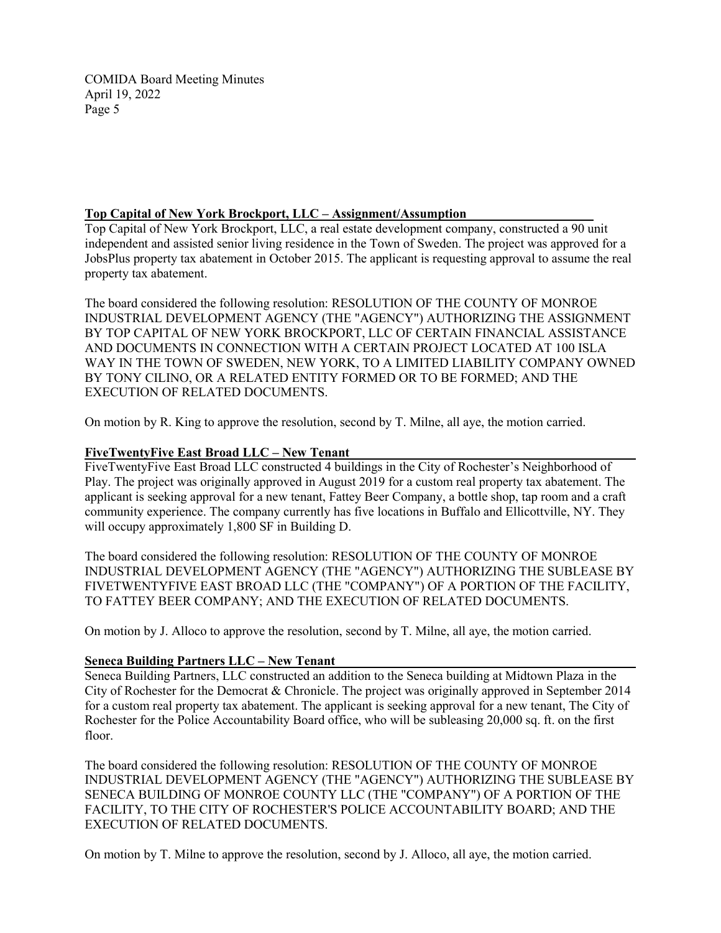## **Top Capital of New York Brockport, LLC – Assignment/Assumption**

Top Capital of New York Brockport, LLC, a real estate development company, constructed a 90 unit independent and assisted senior living residence in the Town of Sweden. The project was approved for a JobsPlus property tax abatement in October 2015. The applicant is requesting approval to assume the real property tax abatement.

The board considered the following resolution: RESOLUTION OF THE COUNTY OF MONROE INDUSTRIAL DEVELOPMENT AGENCY (THE "AGENCY") AUTHORIZING THE ASSIGNMENT BY TOP CAPITAL OF NEW YORK BROCKPORT, LLC OF CERTAIN FINANCIAL ASSISTANCE AND DOCUMENTS IN CONNECTION WITH A CERTAIN PROJECT LOCATED AT 100 ISLA WAY IN THE TOWN OF SWEDEN, NEW YORK, TO A LIMITED LIABILITY COMPANY OWNED BY TONY CILINO, OR A RELATED ENTITY FORMED OR TO BE FORMED; AND THE EXECUTION OF RELATED DOCUMENTS.

On motion by R. King to approve the resolution, second by T. Milne, all aye, the motion carried.

#### **FiveTwentyFive East Broad LLC – New Tenant**

FiveTwentyFive East Broad LLC constructed 4 buildings in the City of Rochester's Neighborhood of Play. The project was originally approved in August 2019 for a custom real property tax abatement. The applicant is seeking approval for a new tenant, Fattey Beer Company, a bottle shop, tap room and a craft community experience. The company currently has five locations in Buffalo and Ellicottville, NY. They will occupy approximately 1,800 SF in Building D.

The board considered the following resolution: RESOLUTION OF THE COUNTY OF MONROE INDUSTRIAL DEVELOPMENT AGENCY (THE "AGENCY") AUTHORIZING THE SUBLEASE BY FIVETWENTYFIVE EAST BROAD LLC (THE "COMPANY") OF A PORTION OF THE FACILITY, TO FATTEY BEER COMPANY; AND THE EXECUTION OF RELATED DOCUMENTS.

On motion by J. Alloco to approve the resolution, second by T. Milne, all aye, the motion carried.

## **Seneca Building Partners LLC – New Tenant**

Seneca Building Partners, LLC constructed an addition to the Seneca building at Midtown Plaza in the City of Rochester for the Democrat & Chronicle. The project was originally approved in September 2014 for a custom real property tax abatement. The applicant is seeking approval for a new tenant, The City of Rochester for the Police Accountability Board office, who will be subleasing 20,000 sq. ft. on the first floor.

The board considered the following resolution: RESOLUTION OF THE COUNTY OF MONROE INDUSTRIAL DEVELOPMENT AGENCY (THE "AGENCY") AUTHORIZING THE SUBLEASE BY SENECA BUILDING OF MONROE COUNTY LLC (THE "COMPANY") OF A PORTION OF THE FACILITY, TO THE CITY OF ROCHESTER'S POLICE ACCOUNTABILITY BOARD; AND THE EXECUTION OF RELATED DOCUMENTS.

On motion by T. Milne to approve the resolution, second by J. Alloco, all aye, the motion carried.